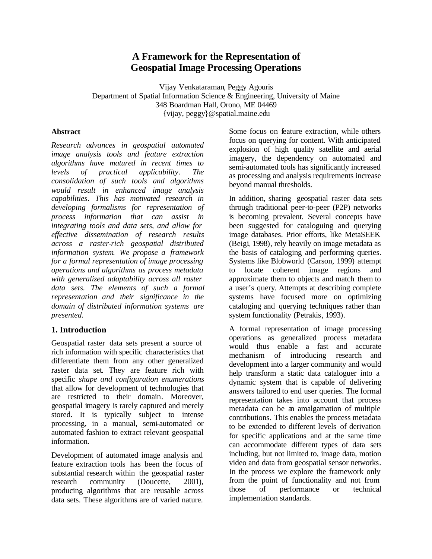# **A Framework for the Representation of Geospatial Image Processing Operations**

Vijay Venkataraman, Peggy Agouris Department of Spatial Information Science & Engineering, University of Maine 348 Boardman Hall, Orono, ME 04469 {vijay, peggy}@spatial.maine.edu

#### **Abstract**

*Research advances in geospatial automated image analysis tools and feature extraction algorithms have matured in recent times to levels of practical applicability. The consolidation of such tools and algorithms would result in enhanced image analysis capabilities. This has motivated research in developing formalisms for representation of process information that can assist in integrating tools and data sets, and allow for effective dissemination of research results across a raster-rich geospatial distributed information system. We propose a framework for a formal representation of image processing operations and algorithms as process metadata with generalized adaptability across all raster data sets. The elements of such a formal representation and their significance in the domain of distributed information systems are presented.* 

# **1. Introduction**

Geospatial raster data sets present a source of rich information with specific characteristics that differentiate them from any other generalized raster data set. They are feature rich with specific *shape and configuration enumerations* that allow for development of technologies that are restricted to their domain. Moreover, geospatial imagery is rarely captured and merely stored. It is typically subject to intense processing, in a manual, semi-automated or automated fashion to extract relevant geospatial information.

Development of automated image analysis and feature extraction tools has been the focus of substantial research within the geospatial raster research community (Doucette, 2001), producing algorithms that are reusable across data sets. These algorithms are of varied nature.

Some focus on feature extraction, while others focus on querying for content. With anticipated explosion of high quality satellite and aerial imagery, the dependency on automated and semi-automated tools has significantly increased as processing and analysis requirements increase beyond manual thresholds.

In addition, sharing geospatial raster data sets through traditional peer-to-peer (P2P) networks is becoming prevalent. Several concepts have been suggested for cataloguing and querying image databases. Prior efforts, like MetaSEEK (Beigi, 1998), rely heavily on image metadata as the basis of cataloging and performing queries. Systems like Blobworld (Carson, 1999) attempt to locate coherent image regions and approximate them to objects and match them to a user's query. Attempts at describing complete systems have focused more on optimizing cataloging and querying techniques rather than system functionality (Petrakis, 1993).

A formal representation of image processing operations as generalized process metadata would thus enable a fast and accurate mechanism of introducing research and development into a larger community and would help transform a static data cataloguer into a dynamic system that is capable of delivering answers tailored to end user queries. The formal representation takes into account that process metadata can be an amalgamation of multiple contributions. This enables the process metadata to be extended to different levels of derivation for specific applications and at the same time can accommodate different types of data sets including, but not limited to, image data, motion video and data from geospatial sensor networks. In the process we explore the framework only from the point of functionality and not from those of performance or technical implementation standards.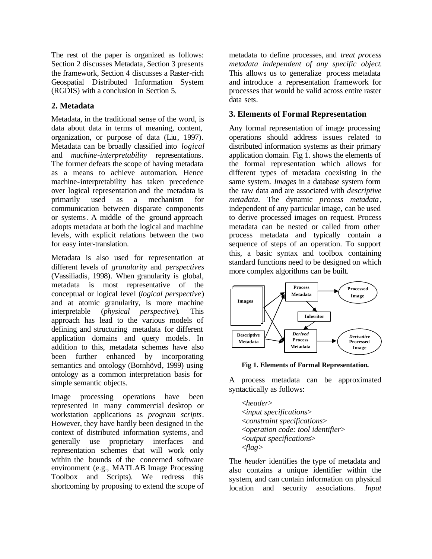The rest of the paper is organized as follows: Section 2 discusses Metadata, Section 3 presents the framework, Section 4 discusses a Raster-rich Geospatial Distributed Information System (RGDIS) with a conclusion in Section 5.

### **2. Metadata**

Metadata, in the traditional sense of the word, is data about data in terms of meaning, content, organization, or purpose of data (Liu, 1997). Metadata can be broadly classified into *logical* and *machine-interpretability* representations. The former defeats the scope of having metadata as a means to achieve automation. Hence machine-interpretability has taken precedence over logical representation and the metadata is primarily used as a mechanism communication between disparate components or systems. A middle of the ground approach adopts metadata at both the logical and machine levels, with explicit relations between the two for easy inter-translation.

Metadata is also used for representation at different levels of *granularity* and *perspectives* (Vassiliadis, 1998). When granularity is global, metadata is most representative of the conceptual or logical level (*logical perspective*) and at atomic granularity, is more machine interpretable (*physical perspective*). This approach has lead to the various models of defining and structuring metadata for different application domains and query models. In addition to this, metadata schemes have also been further enhanced by incorporating semantics and ontology (Bornhövd, 1999) using ontology as a common interpretation basis for simple semantic objects.

Image processing operations have been represented in many commercial desktop or workstation applications as *program scripts*. However, they have hardly been designed in the context of distributed information systems, and generally use proprietary interfaces and representation schemes that will work only within the bounds of the concerned software environment (e.g., MATLAB Image Processing Toolbox and Scripts). We redress this shortcoming by proposing to extend the scope of

metadata to define processes, and *treat process metadata independent of any specific object*. This allows us to generalize process metadata and introduce a representation framework for processes that would be valid across entire raster data sets.

# **3. Elements of Formal Representation**

Any formal representation of image processing operations should address issues related to distributed information systems as their primary application domain. Fig 1. shows the elements of the formal representation which allows for different types of metadata coexisting in the same system. *Images* in a database system form the raw data and are associated with *descriptive metadata*. The dynamic *process metadata*, independent of any particular image, can be used to derive processed images on request. Process metadata can be nested or called from other process metadata and typically contain a sequence of steps of an operation. To support this, a basic syntax and toolbox containing standard functions need to be designed on which more complex algorithms can be built.



**Fig 1. Elements of Formal Representation.**

A process metadata can be approximated syntactically as follows:

<*header*> <*input specifications*> <*constraint specifications*> <*operation code: tool identifier*> <*output specifications*> <*flag*>

The *header* identifies the type of metadata and also contains a unique identifier within the system, and can contain information on physical location and security associations. *Input*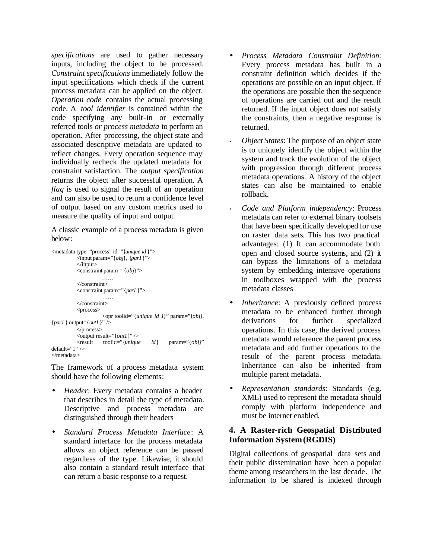*specifications* are used to gather necessary inputs, including the object to be processed. *Constraint specifications* immediately follow the input specifications which check if the current process metadata can be applied on the object. *Operation code* contains the actual processing code. A *tool identifier* is contained within the code specifying any built-in or externally referred tools *or process metadata* to perform an operation. After processing, the object state and associated descriptive metadata are updated to reflect changes. Every operation sequence may individually recheck the updated metadata for constraint satisfaction. The *output specification* returns the object after successful operation. A *flag* is used to signal the result of an operation and can also be used to return a confidence level of output based on any custom metrics used to measure the quality of input and output.

A classic example of a process metadata is given below:

```
<metadata type="process" id="{unique id }">
          <input param="{obj}, {par1}">
          </input>
          <constraint param="{obj}">
                    ……
          </constraint>
          <constraint param="{par1}">
                    ……
          </constraint>
          <process>
                    \langleopr toolid="{unique id 1}" param="{obj},
{par1 } output={out1}" />
          </process>
          \leqoutput result="{out1}" />
          <result toolid="{unique id} param="{obj}" 
default="1" />
</metadata>
```
The framework of a process metadata system should have the following elements:

- *Header*: Every metadata contains a header that describes in detail the type of metadata. Descriptive and process metadata are distinguished through their headers
- *Standard Process Metadata Interface*: A standard interface for the process metadata allows an object reference can be passed regardless of the type. Likewise, it should also contain a standard result interface that can return a basic response to a request.
- *Process Metadata Constraint Definition*: Every process metadata has built in a constraint definition which decides if the operations are possible on an input object. If the operations are possible then the sequence of operations are carried out and the result returned. If the input object does not satisfy the constraints, then a negative response is returned.
- *Object States*: The purpose of an object state is to uniquely identify the object within the system and track the evolution of the object with progression through different process metadata operations. A history of the object states can also be maintained to enable rollback.
- *Code and Platform independency*: Process metadata can refer to external binary toolsets that have been specifically developed for use on raster data sets. This has two practical advantages: (1) It can accommodate both open and closed source systems, and (2) it can bypass the limitations of a metadata system by embedding intensive operations in toolboxes wrapped with the process metadata classes
- *Inheritance*: A previously defined process metadata to be enhanced further through derivations for further specialized operations. In this case, the derived process metadata would reference the parent process metadata and add further operations to the result of the parent process metadata. Inheritance can also be inherited from multiple parent metadata.
- *Representation standards*: Standards (e.g. XML) used to represent the metadata should comply with platform independence and must be internet enabled.

### **4. A Raster-rich Geospatial Distributed Information System (RGDIS)**

Digital collections of geospatial data sets and their public dissemination have been a popular theme among researchers in the last decade. The information to be shared is indexed through